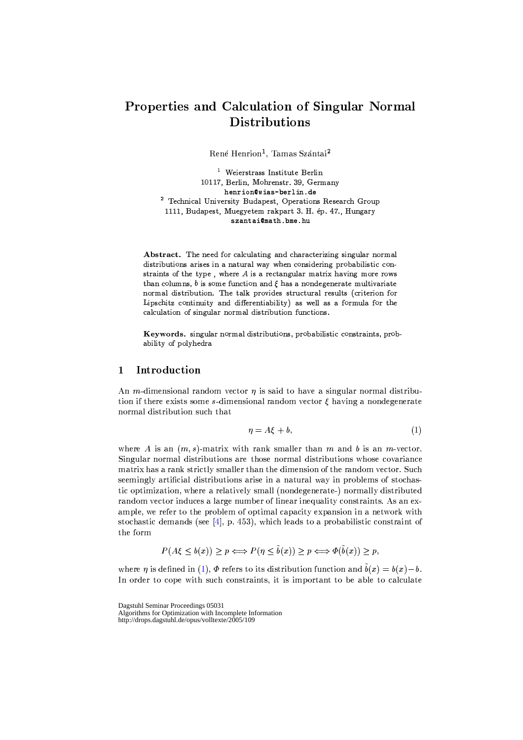# Properties and Calculation of Singular Normal **Distributions**

René Henrion<sup>1</sup>, Tamas Szántai<sup>2</sup>

<sup>1</sup> Weierstrass Institute Berlin 10117, Berlin, Mohrenstr. 39, Germany henrion@wias-berlin.de <sup>2</sup> Technical University Budapest, Operations Research Group 1111, Budapest, Muegyetem rakpart 3. H. ép. 47., Hungary szantai@math.bme.hu

Abstract. The need for calculating and characterizing singular normal distributions arises in a natural way when considering probabilistic constraints of the type, where  $A$  is a rectangular matrix having more rows than columns,  $b$  is some function and  $\xi$  has a nondegenerate multivariate normal distribution. The talk provides structural results (criterion for Lipschitz continuity and differentiability) as well as a formula for the calculation of singular normal distribution functions.

Keywords. singular normal distributions, probabilistic constraints, probability of polyhedra

### Introduction  $\mathbf{1}$

An *m*-dimensional random vector  $\eta$  is said to have a singular normal distribution if there exists some s-dimensional random vector  $\xi$  having a nondegenerate normal distribution such that

$$
\eta = A\xi + b,\tag{1}
$$

where A is an  $(m, s)$ -matrix with rank smaller than m and b is an m-vector. Singular normal distributions are those normal distributions whose covariance matrix has a rank strictly smaller than the dimension of the random vector. Such seemingly artificial distributions arise in a natural way in problems of stochastic optimization, where a relatively small (nondegenerate-) normally distributed random vector induces a large number of linear inequality constraints. As an example, we refer to the problem of optimal capacity expansion in a network with stochastic demands (see [4], p. 453), which leads to a probabilistic constraint of the form

$$
P(A\xi \le b(x)) \ge p \Longleftrightarrow P(\eta \le \tilde{b}(x)) \ge p \Longleftrightarrow \Phi(\tilde{b}(x)) \ge p,
$$

where  $\eta$  is defined in (1),  $\Phi$  refers to its distribution function and  $\tilde{b}(x) = b(x) - b$ . In order to cope with such constraints, it is important to be able to calculate

Dagstuhl Seminar Proceedings 05031 Algorithms for Optimization with Incomplete Information<br>http://drops.dagstuhl.de/opus/volltexte/2005/109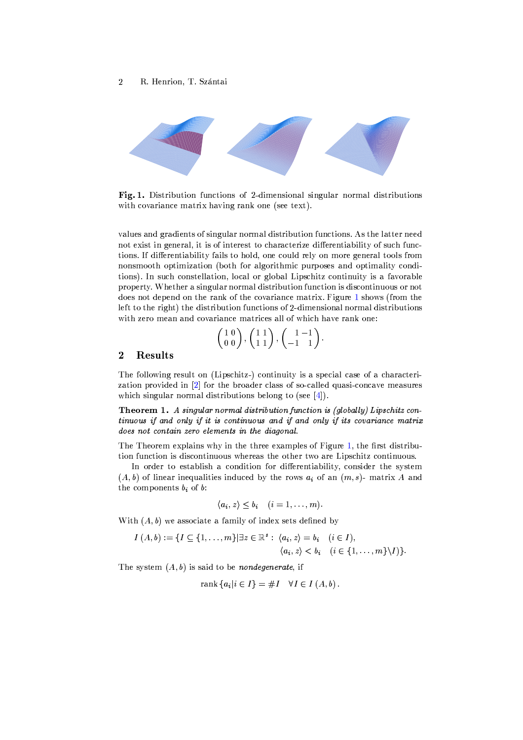

Fig. 1. Distribution functions of 2-dimensional singular normal distributions with covariance matrix having rank one (see text).

values and gradients of singular normal distribution functions. As the latter need not exist in general, it is of interest to characterize differentiability of such functions. If differentiability fails to hold, one could rely on more general tools from nonsmooth optimization (both for algorithmic purposes and optimality conditions). In such constellation, local or global Lipschitz continuity is a favorable property. Whether a singular normal distribution function is discontinuous or not does not depend on the rank of the covariance matrix. Figure 1 shows (from the left to the right) the distribution functions of 2-dimensional normal distributions with zero mean and covariance matrices all of which have rank one:

$$
\left(\begin{array}{c}1 & 0\\0 & 0\end{array}\right), \left(\begin{array}{c}1 & 1\\1 & 1\end{array}\right), \left(\begin{array}{c}1 & -1\\-1 & 1\end{array}\right).
$$

#### $\overline{2}$ Results

The following result on (Lipschitz-) continuity is a special case of a characterization provided in [2] for the broader class of so-called quasi-concave measures which singular normal distributions belong to (see  $[4]$ ).

Theorem 1. A singular normal distribution function is (globally) Lipschitz continuous if and only if it is continuous and if and only if its covariance matrix does not contain zero elements in the diagonal.

The Theorem explains why in the three examples of Figure 1, the first distribution function is discontinuous whereas the other two are Lipschitz continuous.

In order to establish a condition for differentiability, consider the system  $(A, b)$  of linear inequalities induced by the rows  $a_i$  of an  $(m, s)$ - matrix A and the components  $b_i$  of b:

$$
\langle a_i, z \rangle \leq b_i \quad (i = 1, \ldots, m).
$$

With  $(A, b)$  we associate a family of index sets defined by

$$
I(A, b) := \{I \subseteq \{1, ..., m\} | \exists z \in \mathbb{R}^s : \langle a_i, z \rangle = b_i \quad (i \in I), \langle a_i, z \rangle < b_i \quad (i \in \{1, ..., m\} \setminus I) \}.
$$

The system  $(A, b)$  is said to be *nondegenerate*, if

$$
rank \{a_i | i \in I\} = \#I \quad \forall I \in I (A, b).
$$